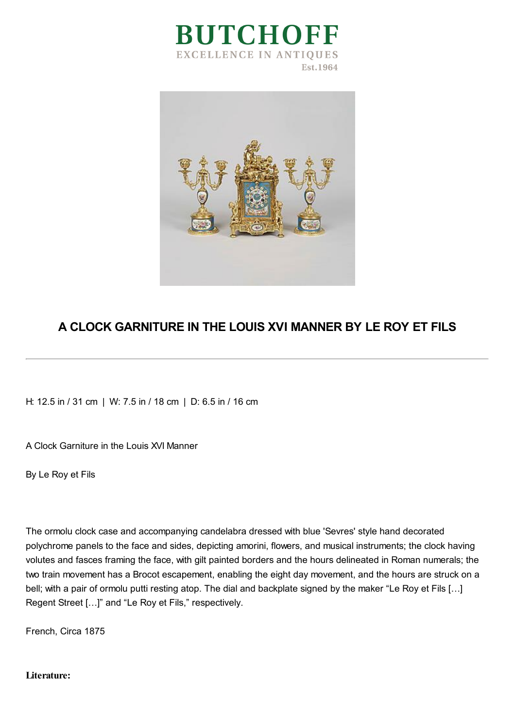



## **A CLOCK GARNITURE IN THE LOUIS XVI MANNER BY LE ROY ET FILS**

H: 12.5 in / 31 cm | W: 7.5 in / 18 cm | D: 6.5 in / 16 cm

A Clock Garniture in the Louis XVI Manner

By Le Roy et Fils

The ormolu clock case and accompanying candelabra dressed with blue 'Sevres' style hand decorated polychrome panels to the face and sides, depicting amorini, flowers, and musical instruments; the clock having volutes and fasces framing the face, with gilt painted borders and the hours delineated in Roman numerals; the two train movement has a Brocot escapement, enabling the eight day movement, and the hours are struck on a bell; with a pair of ormolu putti resting atop. The dial and backplate signed by the maker "Le Roy et Fils [...] Regent Street […]" and "Le Roy et Fils," respectively.

French, Circa 1875

## **Literature:**